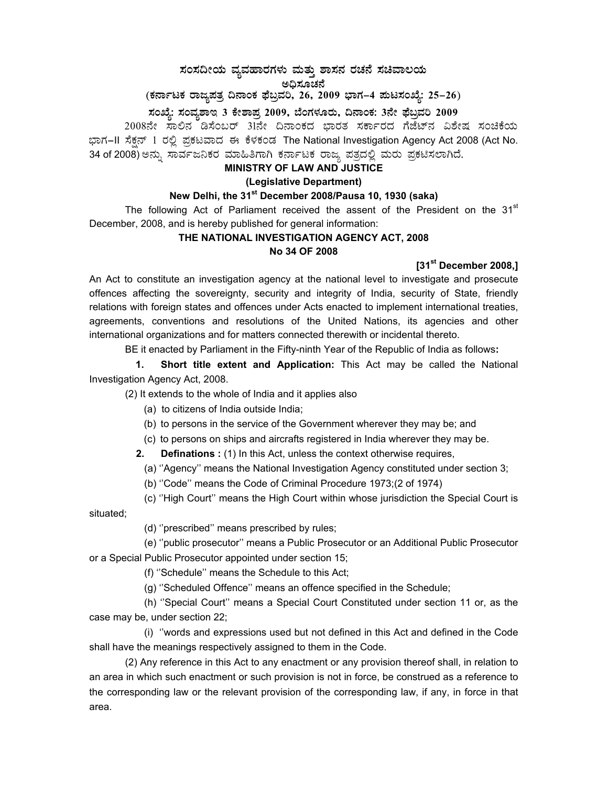# **¸ÀA¸À¢ÃAiÀÄ ªÀåªÀºÁgÀUÀ¼ÀÄ ªÀÄvÀÄÛ ±Á¸À£À gÀZÀ£É ¸ÀaªÁ®AiÀÄ**  ಅಧಿಸೂಚನೆ<br>`-

(ಕರ್ನಾಟಕ ರಾಜ್ಯಪತ್ರ ದಿನಾಂಕ ಫೆಬ್ರವರಿ, 26, 2009 ಭಾಗ–4 **ಪುಟಸಂಖ್ಯೆ: 25–26**) ಸಂಖ್ಯೆ: ಸಂವ್ಯಶಾಇ 3 ಕೇಶಾಪ್ರ 2009, ಬೆಂಗಳೂರು, ದಿನಾಂಕ: 3ನೇ ಫೆಬ್ರವರಿ 2009

2008ನೇ ಸಾಲಿನ ಡಿಸೆಂಬರ್ 31ನೇ ದಿನಾಂಕದ ಭಾರತ ಸರ್ಕಾರದ ಗೆಜೆಟ್ನ ವಿಶೇಷ ಸಂಚಿಕೆಯ ಭಾಗ–II ಸೆಕ್ಷನ್ 1 ರಲ್ಲಿ ಪ್ರಕಟವಾದ ಈ ಕೆಳಕಂಡ The National Investigation Agency Act 2008 (Act No. 34 of 2008) ಅನ್ನು ಸಾರ್ವಜನಿಕರ ಮಾಹಿತಿಗಾಗಿ ಕರ್ನಾಟಕ ರಾಜ್ಯ ಪತ್ರದಲ್ಲಿ ಮರು ಪ್ರಕಟಿಸಲಾಗಿದೆ.

## **MINISTRY OF LAW AND JUSTICE**

#### **(Legislative Department)**

# **New Delhi, the 31st December 2008/Pausa 10, 1930 (saka)**

The following Act of Parliament received the assent of the President on the  $31<sup>st</sup>$ December, 2008, and is hereby published for general information:

# **THE NATIONAL INVESTIGATION AGENCY ACT, 2008 No 34 OF 2008**

## **[31st December 2008,]**

An Act to constitute an investigation agency at the national level to investigate and prosecute offences affecting the sovereignty, security and integrity of India, security of State, friendly relations with foreign states and offences under Acts enacted to implement international treaties, agreements, conventions and resolutions of the United Nations, its agencies and other international organizations and for matters connected therewith or incidental thereto.

BE it enacted by Parliament in the Fifty-ninth Year of the Republic of India as follows**:** 

 **1. Short title extent and Application:** This Act may be called the National Investigation Agency Act, 2008.

(2) It extends to the whole of India and it applies also

- (a) to citizens of India outside India;
- (b) to persons in the service of the Government wherever they may be; and
- (c) to persons on ships and aircrafts registered in India wherever they may be.
- **2.** Definations : (1) In this Act, unless the context otherwise requires,

(a) ''Agency'' means the National Investigation Agency constituted under section 3;

(b) ''Code'' means the Code of Criminal Procedure 1973;(2 of 1974)

(c) ''High Court'' means the High Court within whose jurisdiction the Special Court is

situated;

(d) ''prescribed'' means prescribed by rules;

 (e) ''public prosecutor'' means a Public Prosecutor or an Additional Public Prosecutor or a Special Public Prosecutor appointed under section 15;

(f) ''Schedule'' means the Schedule to this Act;

(g) ''Scheduled Offence'' means an offence specified in the Schedule;

 (h) ''Special Court'' means a Special Court Constituted under section 11 or, as the case may be, under section 22;

 (i) ''words and expressions used but not defined in this Act and defined in the Code shall have the meanings respectively assigned to them in the Code.

(2) Any reference in this Act to any enactment or any provision thereof shall, in relation to an area in which such enactment or such provision is not in force, be construed as a reference to the corresponding law or the relevant provision of the corresponding law, if any, in force in that area.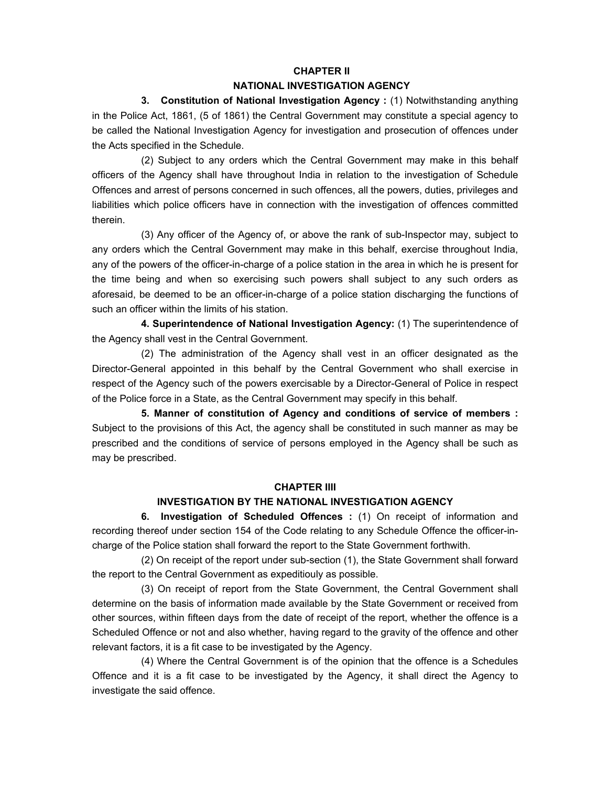#### **CHAPTER II**

#### **NATIONAL INVESTIGATION AGENCY**

 **3. Constitution of National Investigation Agency :** (1) Notwithstanding anything in the Police Act, 1861, (5 of 1861) the Central Government may constitute a special agency to be called the National Investigation Agency for investigation and prosecution of offences under the Acts specified in the Schedule.

 (2) Subject to any orders which the Central Government may make in this behalf officers of the Agency shall have throughout India in relation to the investigation of Schedule Offences and arrest of persons concerned in such offences, all the powers, duties, privileges and liabilities which police officers have in connection with the investigation of offences committed therein.

 (3) Any officer of the Agency of, or above the rank of sub-Inspector may, subject to any orders which the Central Government may make in this behalf, exercise throughout India, any of the powers of the officer-in-charge of a police station in the area in which he is present for the time being and when so exercising such powers shall subject to any such orders as aforesaid, be deemed to be an officer-in-charge of a police station discharging the functions of such an officer within the limits of his station.

**4. Superintendence of National Investigation Agency:** (1) The superintendence of the Agency shall vest in the Central Government.

 (2) The administration of the Agency shall vest in an officer designated as the Director-General appointed in this behalf by the Central Government who shall exercise in respect of the Agency such of the powers exercisable by a Director-General of Police in respect of the Police force in a State, as the Central Government may specify in this behalf.

**5. Manner of constitution of Agency and conditions of service of members :** Subject to the provisions of this Act, the agency shall be constituted in such manner as may be prescribed and the conditions of service of persons employed in the Agency shall be such as may be prescribed.

#### **CHAPTER IIII**

## **INVESTIGATION BY THE NATIONAL INVESTIGATION AGENCY**

 **6. Investigation of Scheduled Offences :** (1) On receipt of information and recording thereof under section 154 of the Code relating to any Schedule Offence the officer-incharge of the Police station shall forward the report to the State Government forthwith.

 (2) On receipt of the report under sub-section (1), the State Government shall forward the report to the Central Government as expeditiouly as possible.

 (3) On receipt of report from the State Government, the Central Government shall determine on the basis of information made available by the State Government or received from other sources, within fifteen days from the date of receipt of the report, whether the offence is a Scheduled Offence or not and also whether, having regard to the gravity of the offence and other relevant factors, it is a fit case to be investigated by the Agency.

 (4) Where the Central Government is of the opinion that the offence is a Schedules Offence and it is a fit case to be investigated by the Agency, it shall direct the Agency to investigate the said offence.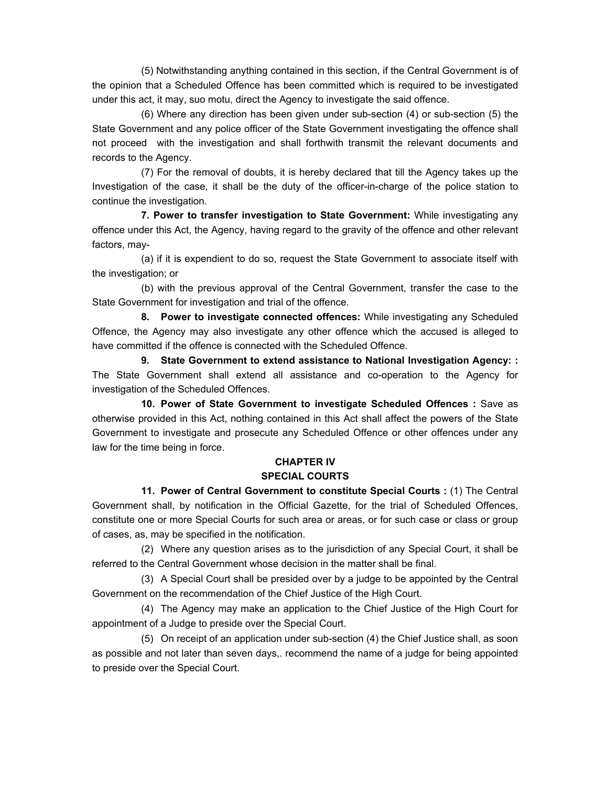(5) Notwithstanding anything contained in this section, if the Central Government is of the opinion that a Scheduled Offence has been committed which is required to be investigated under this act, it may, suo motu, direct the Agency to investigate the said offence.

 (6) Where any direction has been given under sub-section (4) or sub-section (5) the State Government and any police officer of the State Government investigating the offence shall not proceed with the investigation and shall forthwith transmit the relevant documents and records to the Agency.

 (7) For the removal of doubts, it is hereby declared that till the Agency takes up the Investigation of the case, it shall be the duty of the officer-in-charge of the police station to continue the investigation.

**7. Power to transfer investigation to State Government:** While investigating any offence under this Act, the Agency, having regard to the gravity of the offence and other relevant factors, may-

(a) if it is expendient to do so, request the State Government to associate itself with the investigation; or

 (b) with the previous approval of the Central Government, transfer the case to the State Government for investigation and trial of the offence.

**8. Power to investigate connected offences:** While investigating any Scheduled Offence, the Agency may also investigate any other offence which the accused is alleged to have committed if the offence is connected with the Scheduled Offence.

 **9. State Government to extend assistance to National Investigation Agency: :**  The State Government shall extend all assistance and co-operation to the Agency for investigation of the Scheduled Offences.

 **10. Power of State Government to investigate Scheduled Offences :** Save as otherwise provided in this Act, nothing contained in this Act shall affect the powers of the State Government to investigate and prosecute any Scheduled Offence or other offences under any law for the time being in force.

# **CHAPTER IV**

# **SPECIAL COURTS**

**11. Power of Central Government to constitute Special Courts : (1) The Central** Government shall, by notification in the Official Gazette, for the trial of Scheduled Offences, constitute one or more Special Courts for such area or areas, or for such case or class or group of cases, as, may be specified in the notification.

(2) Where any question arises as to the jurisdiction of any Special Court, it shall be referred to the Central Government whose decision in the matter shall be final.

 (3) A Special Court shall be presided over by a judge to be appointed by the Central Government on the recommendation of the Chief Justice of the High Court.

 (4) The Agency may make an application to the Chief Justice of the High Court for appointment of a Judge to preside over the Special Court.

 (5) On receipt of an application under sub-section (4) the Chief Justice shall, as soon as possible and not later than seven days,. recommend the name of a judge for being appointed to preside over the Special Court.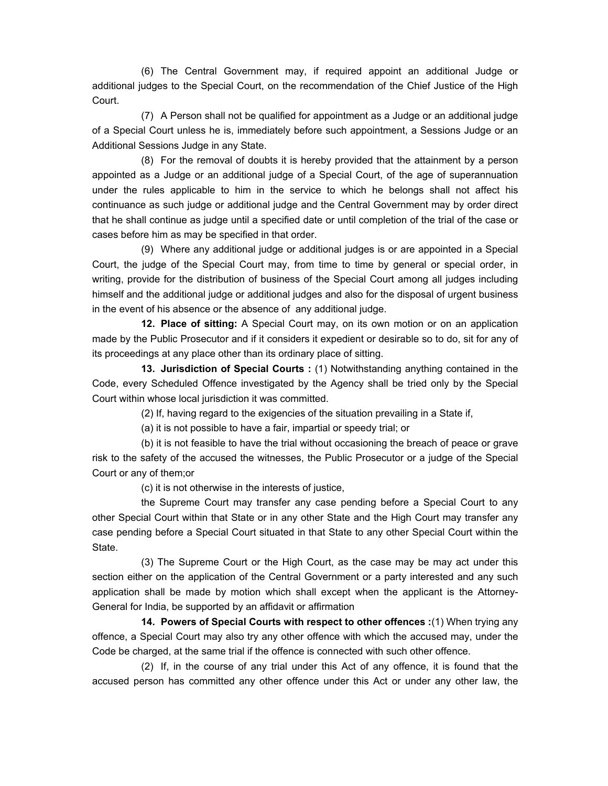(6) The Central Government may, if required appoint an additional Judge or additional judges to the Special Court, on the recommendation of the Chief Justice of the High Court.

 (7) A Person shall not be qualified for appointment as a Judge or an additional judge of a Special Court unless he is, immediately before such appointment, a Sessions Judge or an Additional Sessions Judge in any State.

 (8) For the removal of doubts it is hereby provided that the attainment by a person appointed as a Judge or an additional judge of a Special Court, of the age of superannuation under the rules applicable to him in the service to which he belongs shall not affect his continuance as such judge or additional judge and the Central Government may by order direct that he shall continue as judge until a specified date or until completion of the trial of the case or cases before him as may be specified in that order.

 (9) Where any additional judge or additional judges is or are appointed in a Special Court, the judge of the Special Court may, from time to time by general or special order, in writing, provide for the distribution of business of the Special Court among all judges including himself and the additional judge or additional judges and also for the disposal of urgent business in the event of his absence or the absence of any additional judge.

**12. Place of sitting:** A Special Court may, on its own motion or on an application made by the Public Prosecutor and if it considers it expedient or desirable so to do, sit for any of its proceedings at any place other than its ordinary place of sitting.

 **13. Jurisdiction of Special Courts :** (1) Notwithstanding anything contained in the Code, every Scheduled Offence investigated by the Agency shall be tried only by the Special Court within whose local jurisdiction it was committed.

(2) If, having regard to the exigencies of the situation prevailing in a State if,

(a) it is not possible to have a fair, impartial or speedy trial; or

 (b) it is not feasible to have the trial without occasioning the breach of peace or grave risk to the safety of the accused the witnesses, the Public Prosecutor or a judge of the Special Court or any of them;or

(c) it is not otherwise in the interests of justice,

 the Supreme Court may transfer any case pending before a Special Court to any other Special Court within that State or in any other State and the High Court may transfer any case pending before a Special Court situated in that State to any other Special Court within the State.

 (3) The Supreme Court or the High Court, as the case may be may act under this section either on the application of the Central Government or a party interested and any such application shall be made by motion which shall except when the applicant is the Attorney-General for India, be supported by an affidavit or affirmation

**14. Powers of Special Courts with respect to other offences :**(1) When trying any offence, a Special Court may also try any other offence with which the accused may, under the Code be charged, at the same trial if the offence is connected with such other offence.

 (2) If, in the course of any trial under this Act of any offence, it is found that the accused person has committed any other offence under this Act or under any other law, the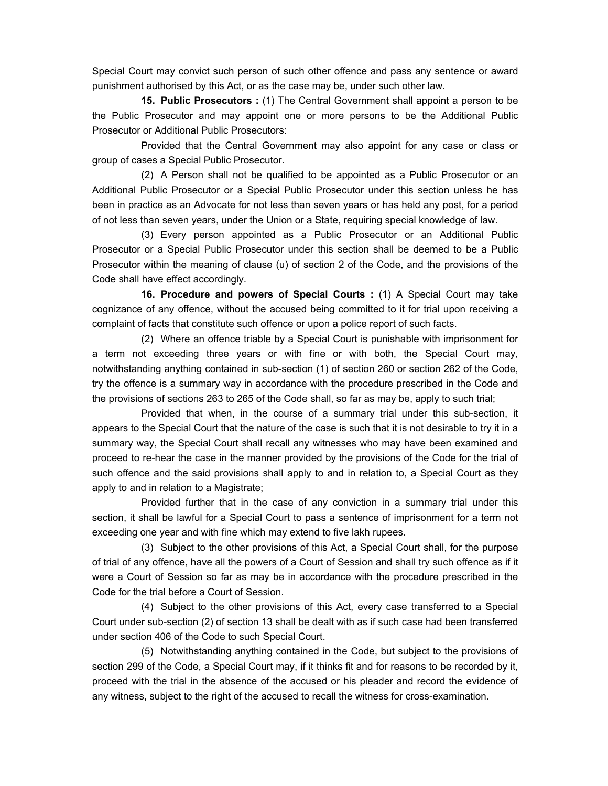Special Court may convict such person of such other offence and pass any sentence or award punishment authorised by this Act, or as the case may be, under such other law.

**15. Public Prosecutors :** (1) The Central Government shall appoint a person to be the Public Prosecutor and may appoint one or more persons to be the Additional Public Prosecutor or Additional Public Prosecutors:

Provided that the Central Government may also appoint for any case or class or group of cases a Special Public Prosecutor.

 (2) A Person shall not be qualified to be appointed as a Public Prosecutor or an Additional Public Prosecutor or a Special Public Prosecutor under this section unless he has been in practice as an Advocate for not less than seven years or has held any post, for a period of not less than seven years, under the Union or a State, requiring special knowledge of law.

 (3) Every person appointed as a Public Prosecutor or an Additional Public Prosecutor or a Special Public Prosecutor under this section shall be deemed to be a Public Prosecutor within the meaning of clause (u) of section 2 of the Code, and the provisions of the Code shall have effect accordingly.

**16. Procedure and powers of Special Courts :** (1) A Special Court may take cognizance of any offence, without the accused being committed to it for trial upon receiving a complaint of facts that constitute such offence or upon a police report of such facts.

(2) Where an offence triable by a Special Court is punishable with imprisonment for a term not exceeding three years or with fine or with both, the Special Court may, notwithstanding anything contained in sub-section (1) of section 260 or section 262 of the Code, try the offence is a summary way in accordance with the procedure prescribed in the Code and the provisions of sections 263 to 265 of the Code shall, so far as may be, apply to such trial;

 Provided that when, in the course of a summary trial under this sub-section, it appears to the Special Court that the nature of the case is such that it is not desirable to try it in a summary way, the Special Court shall recall any witnesses who may have been examined and proceed to re-hear the case in the manner provided by the provisions of the Code for the trial of such offence and the said provisions shall apply to and in relation to, a Special Court as they apply to and in relation to a Magistrate;

 Provided further that in the case of any conviction in a summary trial under this section, it shall be lawful for a Special Court to pass a sentence of imprisonment for a term not exceeding one year and with fine which may extend to five lakh rupees.

 (3) Subject to the other provisions of this Act, a Special Court shall, for the purpose of trial of any offence, have all the powers of a Court of Session and shall try such offence as if it were a Court of Session so far as may be in accordance with the procedure prescribed in the Code for the trial before a Court of Session.

 (4) Subject to the other provisions of this Act, every case transferred to a Special Court under sub-section (2) of section 13 shall be dealt with as if such case had been transferred under section 406 of the Code to such Special Court.

 (5) Notwithstanding anything contained in the Code, but subject to the provisions of section 299 of the Code, a Special Court may, if it thinks fit and for reasons to be recorded by it, proceed with the trial in the absence of the accused or his pleader and record the evidence of any witness, subject to the right of the accused to recall the witness for cross-examination.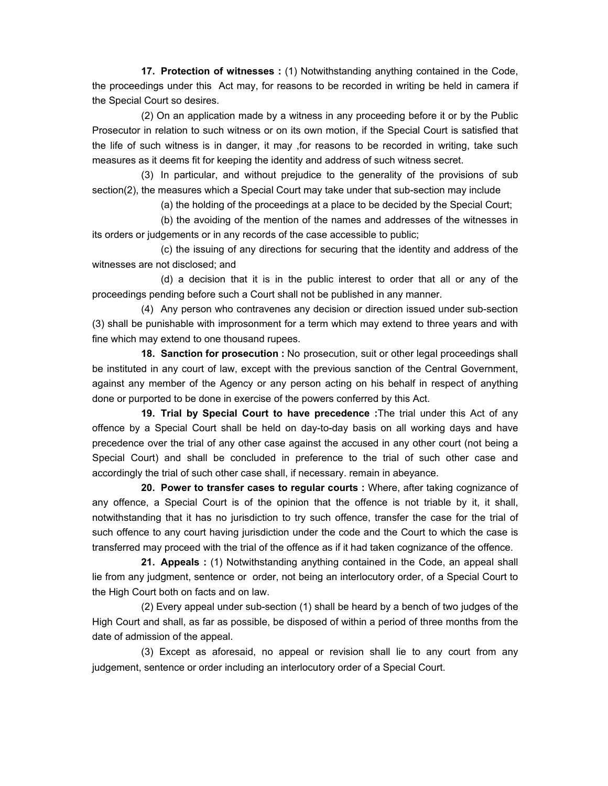**17. Protection of witnesses :** (1) Notwithstanding anything contained in the Code, the proceedings under this Act may, for reasons to be recorded in writing be held in camera if the Special Court so desires.

(2) On an application made by a witness in any proceeding before it or by the Public Prosecutor in relation to such witness or on its own motion, if the Special Court is satisfied that the life of such witness is in danger, it may ,for reasons to be recorded in writing, take such measures as it deems fit for keeping the identity and address of such witness secret.

 (3) In particular, and without prejudice to the generality of the provisions of sub section(2), the measures which a Special Court may take under that sub-section may include

(a) the holding of the proceedings at a place to be decided by the Special Court;

 (b) the avoiding of the mention of the names and addresses of the witnesses in its orders or judgements or in any records of the case accessible to public;

 (c) the issuing of any directions for securing that the identity and address of the witnesses are not disclosed; and

 (d) a decision that it is in the public interest to order that all or any of the proceedings pending before such a Court shall not be published in any manner.

 (4) Any person who contravenes any decision or direction issued under sub-section (3) shall be punishable with improsonment for a term which may extend to three years and with fine which may extend to one thousand rupees.

**18. Sanction for prosecution :** No prosecution, suit or other legal proceedings shall be instituted in any court of law, except with the previous sanction of the Central Government, against any member of the Agency or any person acting on his behalf in respect of anything done or purported to be done in exercise of the powers conferred by this Act.

 **19. Trial by Special Court to have precedence :**The trial under this Act of any offence by a Special Court shall be held on day-to-day basis on all working days and have precedence over the trial of any other case against the accused in any other court (not being a Special Court) and shall be concluded in preference to the trial of such other case and accordingly the trial of such other case shall, if necessary. remain in abeyance.

 **20. Power to transfer cases to regular courts :** Where, after taking cognizance of any offence, a Special Court is of the opinion that the offence is not triable by it, it shall, notwithstanding that it has no jurisdiction to try such offence, transfer the case for the trial of such offence to any court having jurisdiction under the code and the Court to which the case is transferred may proceed with the trial of the offence as if it had taken cognizance of the offence.

 **21. Appeals :** (1) Notwithstanding anything contained in the Code, an appeal shall lie from any judgment, sentence or order, not being an interlocutory order, of a Special Court to the High Court both on facts and on law.

(2) Every appeal under sub-section (1) shall be heard by a bench of two judges of the High Court and shall, as far as possible, be disposed of within a period of three months from the date of admission of the appeal.

 (3) Except as aforesaid, no appeal or revision shall lie to any court from any judgement, sentence or order including an interlocutory order of a Special Court.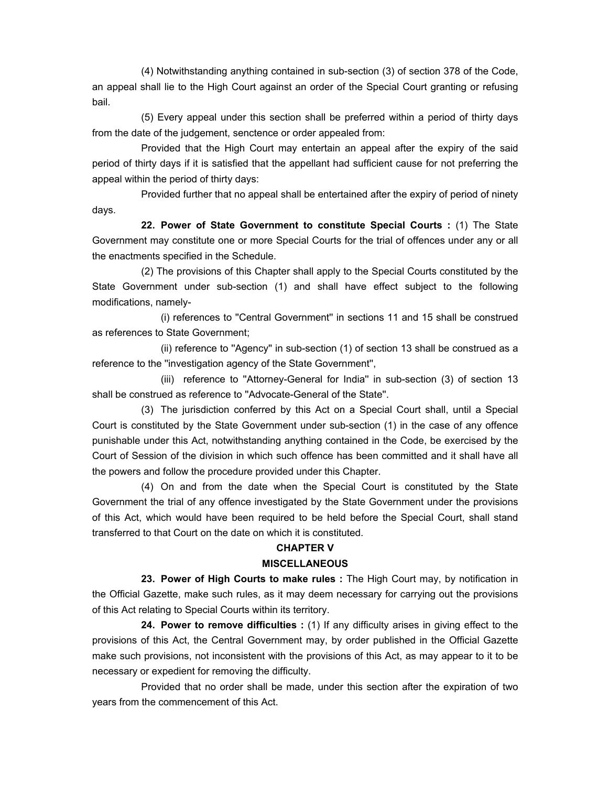(4) Notwithstanding anything contained in sub-section (3) of section 378 of the Code, an appeal shall lie to the High Court against an order of the Special Court granting or refusing bail.

 (5) Every appeal under this section shall be preferred within a period of thirty days from the date of the judgement, senctence or order appealed from:

 Provided that the High Court may entertain an appeal after the expiry of the said period of thirty days if it is satisfied that the appellant had sufficient cause for not preferring the appeal within the period of thirty days:

 Provided further that no appeal shall be entertained after the expiry of period of ninety days.

**22. Power of State Government to constitute Special Courts :** (1) The State Government may constitute one or more Special Courts for the trial of offences under any or all the enactments specified in the Schedule.

 (2) The provisions of this Chapter shall apply to the Special Courts constituted by the State Government under sub-section (1) and shall have effect subject to the following modifications, namely-

 (i) references to ''Central Government'' in sections 11 and 15 shall be construed as references to State Government;

 (ii) reference to ''Agency'' in sub-section (1) of section 13 shall be construed as a reference to the ''investigation agency of the State Government'',

 (iii) reference to ''Attorney-General for India'' in sub-section (3) of section 13 shall be construed as reference to ''Advocate-General of the State''.

 (3) The jurisdiction conferred by this Act on a Special Court shall, until a Special Court is constituted by the State Government under sub-section (1) in the case of any offence punishable under this Act, notwithstanding anything contained in the Code, be exercised by the Court of Session of the division in which such offence has been committed and it shall have all the powers and follow the procedure provided under this Chapter.

 (4) On and from the date when the Special Court is constituted by the State Government the trial of any offence investigated by the State Government under the provisions of this Act, which would have been required to be held before the Special Court, shall stand transferred to that Court on the date on which it is constituted.

#### **CHAPTER V**

#### **MISCELLANEOUS**

 **23. Power of High Courts to make rules :** The High Court may, by notification in the Official Gazette, make such rules, as it may deem necessary for carrying out the provisions of this Act relating to Special Courts within its territory.

 **24. Power to remove difficulties :** (1) If any difficulty arises in giving effect to the provisions of this Act, the Central Government may, by order published in the Official Gazette make such provisions, not inconsistent with the provisions of this Act, as may appear to it to be necessary or expedient for removing the difficulty.

Provided that no order shall be made, under this section after the expiration of two years from the commencement of this Act.